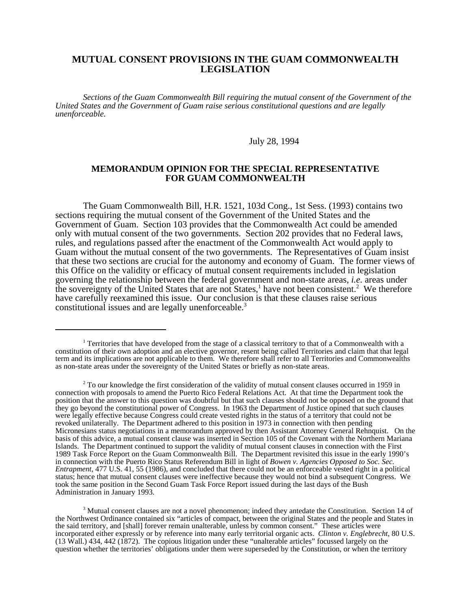# **MUTUAL CONSENT PROVISIONS IN THE GUAM COMMONWEALTH LEGISLATION**

*Sections of the Guam Commonwealth Bill requiring the mutual consent of the Government of the United States and the Government of Guam raise serious constitutional questions and are legally unenforceable.* 

July 28, 1994

# **MEMORANDUM OPINION FOR THE SPECIAL REPRESENTATIVE FOR GUAM COMMONWEALTH**

The Guam Commonwealth Bill, H.R. 1521, 103d Cong., 1st Sess. (1993) contains two sections requiring the mutual consent of the Government of the United States and the Government of Guam. Section 103 provides that the Commonwealth Act could be amended only with mutual consent of the two governments. Section 202 provides that no Federal laws, rules, and regulations passed after the enactment of the Commonwealth Act would apply to Guam without the mutual consent of the two governments. The Representatives of Guam insist that these two sections are crucial for the autonomy and economy of Guam. The former views of this Office on the validity or efficacy of mutual consent requirements included in legislation governing the relationship between the federal government and non-state areas, *i.e.* areas under the sovereignty of the United States that are not States,<sup>1</sup> have not been consistent.<sup>2</sup> We therefore have carefully reexamined this issue. Our conclusion is that these clauses raise serious constitutional issues and are legally unenforceable.3

<sup>&</sup>lt;sup>1</sup> Territories that have developed from the stage of a classical territory to that of a Commonwealth with a constitution of their own adoption and an elective governor, resent being called Territories and claim that that legal term and its implications are not applicable to them. We therefore shall refer to all Territories and Commonwealths as non-state areas under the sovereignty of the United States or briefly as non-state areas.

 $2$  To our knowledge the first consideration of the validity of mutual consent clauses occurred in 1959 in connection with proposals to amend the Puerto Rico Federal Relations Act. At that time the Department took the position that the answer to this question was doubtful but that such clauses should not be opposed on the ground that they go beyond the constitutional power of Congress. In 1963 the Department of Justice opined that such clauses were legally effective because Congress could create vested rights in the status of a territory that could not be revoked unilaterally. The Department adhered to this position in 1973 in connection with then pending Micronesians status negotiations in a memorandum approved by then Assistant Attorney General Rehnquist. On the basis of this advice, a mutual consent clause was inserted in Section 105 of the Covenant with the Northern Mariana Islands. The Department continued to support the validity of mutual consent clauses in connection with the First 1989 Task Force Report on the Guam Commonwealth Bill. The Department revisited this issue in the early 1990's in connection with the Puerto Rico Status Referendum Bill in light of *Bowen v. Agencies Opposed to Soc. Sec. Entrapment*, 477 U.S. 41, 55 (1986), and concluded that there could not be an enforceable vested right in a political status; hence that mutual consent clauses were ineffective because they would not bind a subsequent Congress. We took the same position in the Second Guam Task Force Report issued during the last days of the Bush Administration in January 1993.

<sup>&</sup>lt;sup>3</sup> Mutual consent clauses are not a novel phenomenon; indeed they antedate the Constitution. Section 14 of the Northwest Ordinance contained six "articles of compact, between the original States and the people and States in the said territory, and [shall] forever remain unalterable, unless by common consent." These articles were incorporated either expressly or by reference into many early territorial organic acts. *Clinton v. Englebrecht*, 80 U.S. (13 Wall.) 434, 442 (1872). The copious litigation under these "unalterable articles" focussed largely on the question whether the territories' obligations under them were superseded by the Constitution, or when the territory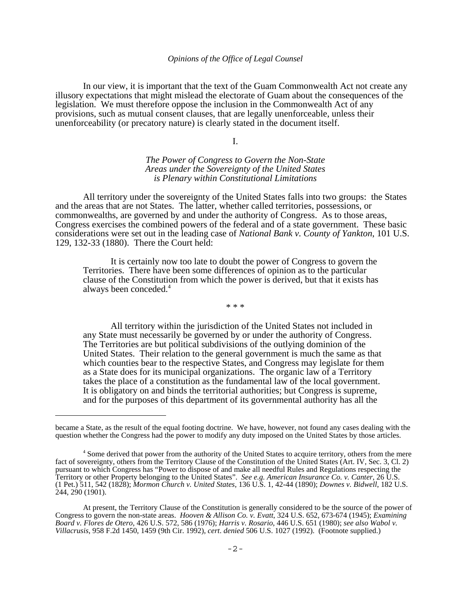In our view, it is important that the text of the Guam Commonwealth Act not create any illusory expectations that might mislead the electorate of Guam about the consequences of the legislation. We must therefore oppose the inclusion in the Commonwealth Act of any provisions, such as mutual consent clauses, that are legally unenforceable, unless their unenforceability (or precatory nature) is clearly stated in the document itself.

I.

*The Power of Congress to Govern the Non-State Areas under the Sovereignty of the United States is Plenary within Constitutional Limitations* 

All territory under the sovereignty of the United States falls into two groups: the States and the areas that are not States. The latter, whether called territories, possessions, or commonwealths, are governed by and under the authority of Congress. As to those areas, Congress exercises the combined powers of the federal and of a state government. These basic considerations were set out in the leading case of *National Bank v. County of Yankton*, 101 U.S. 129, 132-33 (1880). There the Court held:

It is certainly now too late to doubt the power of Congress to govern the Territories. There have been some differences of opinion as to the particular clause of the Constitution from which the power is derived, but that it exists has always been conceded.4

\* \* \*

All territory within the jurisdiction of the United States not included in any State must necessarily be governed by or under the authority of Congress. The Territories are but political subdivisions of the outlying dominion of the United States. Their relation to the general government is much the same as that which counties bear to the respective States, and Congress may legislate for them as a State does for its municipal organizations. The organic law of a Territory takes the place of a constitution as the fundamental law of the local government. It is obligatory on and binds the territorial authorities; but Congress is supreme, and for the purposes of this department of its governmental authority has all the

became a State, as the result of the equal footing doctrine. We have, however, not found any cases dealing with the question whether the Congress had the power to modify any duty imposed on the United States by those articles.

<sup>&</sup>lt;sup>4</sup> Some derived that power from the authority of the United States to acquire territory, others from the mere fact of sovereignty, others from the Territory Clause of the Constitution of the United States (Art. IV, Sec. 3, Cl. 2) pursuant to which Congress has "Power to dispose of and make all needful Rules and Regulations respecting the Territory or other Property belonging to the United States". *See e.g. American Insurance Co. v. Canter*, 26 U.S. (1 Pet.) 511, 542 (1828); *Mormon Church v. United States*, 136 U.S. 1, 42-44 (1890); *Downes v. Bidwell*, 182 U.S. 244, 290 (1901).

At present, the Territory Clause of the Constitution is generally considered to be the source of the power of Congress to govern the non-state areas. *Hooven & Allison Co. v. Evatt*, 324 U.S. 652, 673-674 (1945); *Examining Board v. Flores de Otero*, 426 U.S. 572, 586 (1976); *Harris v. Rosario*, 446 U.S. 651 (1980); *see also Wabol v. Villacrusis*, 958 F.2d 1450, 1459 (9th Cir. 1992), *cert*. *denied* 506 U.S. 1027 (1992). (Footnote supplied.)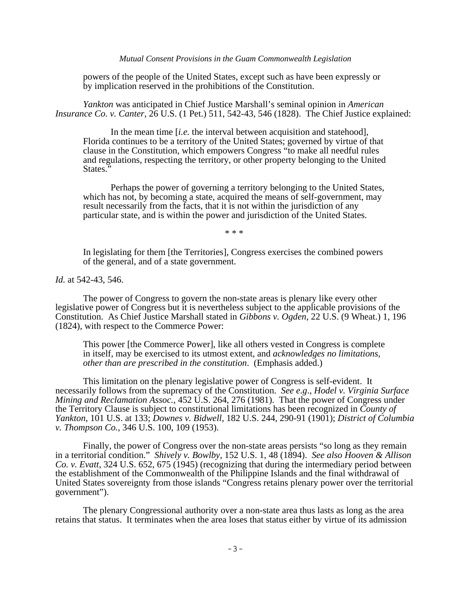powers of the people of the United States, except such as have been expressly or by implication reserved in the prohibitions of the Constitution.

*Yankton* was anticipated in Chief Justice Marshall's seminal opinion in *American Insurance Co. v. Canter*, 26 U.S. (1 Pet.) 511, 542-43, 546 (1828). The Chief Justice explained:

In the mean time *[i.e.* the interval between acquisition and statehood], Florida continues to be a territory of the United States; governed by virtue of that clause in the Constitution, which empowers Congress "to make all needful rules and regulations, respecting the territory, or other property belonging to the United States.

Perhaps the power of governing a territory belonging to the United States, which has not, by becoming a state, acquired the means of self-government, may result necessarily from the facts, that it is not within the jurisdiction of any particular state, and is within the power and jurisdiction of the United States.

\* \* \*

In legislating for them [the Territories], Congress exercises the combined powers of the general, and of a state government.

*Id.* at 542-43, 546.

The power of Congress to govern the non-state areas is plenary like every other legislative power of Congress but it is nevertheless subject to the applicable provisions of the Constitution. As Chief Justice Marshall stated in *Gibbons v. Ogden*, 22 U.S. (9 Wheat.) 1, 196 (1824), with respect to the Commerce Power:

This power [the Commerce Power], like all others vested in Congress is complete in itself, may be exercised to its utmost extent, and *acknowledges no limitations, other than are prescribed in the constitution*. (Emphasis added.)

This limitation on the plenary legislative power of Congress is self-evident. It necessarily follows from the supremacy of the Constitution. *See e.g*., *Hodel v. Virginia Surface Mining and Reclamation Assoc.*, 452 U.S. 264, 276 (1981). That the power of Congress under the Territory Clause is subject to constitutional limitations has been recognized in *County of Yankton*, 101 U.S. at 133; *Downes v. Bidwell*, 182 U.S. 244, 290-91 (1901); *District of Columbia v. Thompson Co.*, 346 U.S. 100, 109 (1953).

Finally, the power of Congress over the non-state areas persists "so long as they remain in a territorial condition." *Shively v. Bowlby*, 152 U.S. 1, 48 (1894). *See also Hooven & Allison Co. v. Evatt*, 324 U.S. 652, 675 (1945) (recognizing that during the intermediary period between the establishment of the Commonwealth of the Philippine Islands and the final withdrawal of United States sovereignty from those islands "Congress retains plenary power over the territorial government").

The plenary Congressional authority over a non-state area thus lasts as long as the area retains that status. It terminates when the area loses that status either by virtue of its admission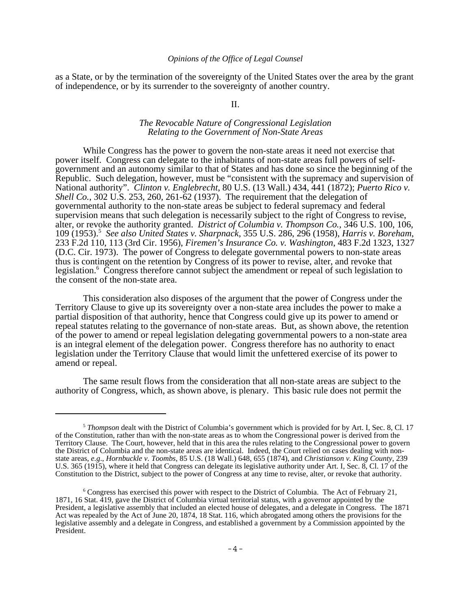as a State, or by the termination of the sovereignty of the United States over the area by the grant of independence, or by its surrender to the sovereignty of another country.

II.

# *The Revocable Nature of Congressional Legislation Relating to the Government of Non-State Areas*

While Congress has the power to govern the non-state areas it need not exercise that power itself. Congress can delegate to the inhabitants of non-state areas full powers of selfgovernment and an autonomy similar to that of States and has done so since the beginning of the Republic. Such delegation, however, must be "consistent with the supremacy and supervision of National authority". *Clinton v. Englebrecht*, 80 U.S. (13 Wall.) 434, 441 (1872); *Puerto Rico v. Shell Co.*, 302 U.S. 253, 260, 261-62 (1937). The requirement that the delegation of governmental authority to the non-state areas be subject to federal supremacy and federal supervision means that such delegation is necessarily subject to the right of Congress to revise, alter, or revoke the authority granted. *District of Columbia v. Thompson Co.*, 346 U.S. 100, 106, 109 (1953).5 *See also United States v. Sharpnack*, 355 U.S. 286, 296 (1958), *Harris v. Boreham*, 233 F.2d 110, 113 (3rd Cir. 1956), *Firemen's Insurance Co. v. Washington*, 483 F.2d 1323, 1327 (D.C. Cir. 1973). The power of Congress to delegate governmental powers to non-state areas thus is contingent on the retention by Congress of its power to revise, alter, and revoke that legislation.<sup>6</sup> Congress therefore cannot subject the amendment or repeal of such legislation to the consent of the non-state area.

This consideration also disposes of the argument that the power of Congress under the Territory Clause to give up its sovereignty over a non-state area includes the power to make a partial disposition of that authority, hence that Congress could give up its power to amend or repeal statutes relating to the governance of non-state areas. But, as shown above, the retention of the power to amend or repeal legislation delegating governmental powers to a non-state area is an integral element of the delegation power. Congress therefore has no authority to enact legislation under the Territory Clause that would limit the unfettered exercise of its power to amend or repeal.

The same result flows from the consideration that all non-state areas are subject to the authority of Congress, which, as shown above, is plenary. This basic rule does not permit the

<sup>5</sup>*Thompson* dealt with the District of Columbia's government which is provided for by Art. I, Sec. 8, Cl. 17 of the Constitution, rather than with the non-state areas as to whom the Congressional power is derived from the Territory Clause. The Court, however, held that in this area the rules relating to the Congressional power to govern the District of Columbia and the non-state areas are identical. Indeed, the Court relied on cases dealing with nonstate areas, *e.g*., *Hornbuckle v. Toombs*, 85 U.S. (18 Wall.) 648, 655 (1874), and *Christianson v. King County*, 239 U.S. 365 (1915), where it held that Congress can delegate its legislative authority under Art. I, Sec. 8, Cl. 17 of the Constitution to the District, subject to the power of Congress at any time to revise, alter, or revoke that authority.

<sup>&</sup>lt;sup>6</sup> Congress has exercised this power with respect to the District of Columbia. The Act of February 21, 1871, 16 Stat. 419, gave the District of Columbia virtual territorial status, with a governor appointed by the President, a legislative assembly that included an elected house of delegates, and a delegate in Congress. The 1871 Act was repealed by the Act of June 20, 1874, 18 Stat. 116, which abrogated among others the provisions for the legislative assembly and a delegate in Congress, and established a government by a Commission appointed by the President.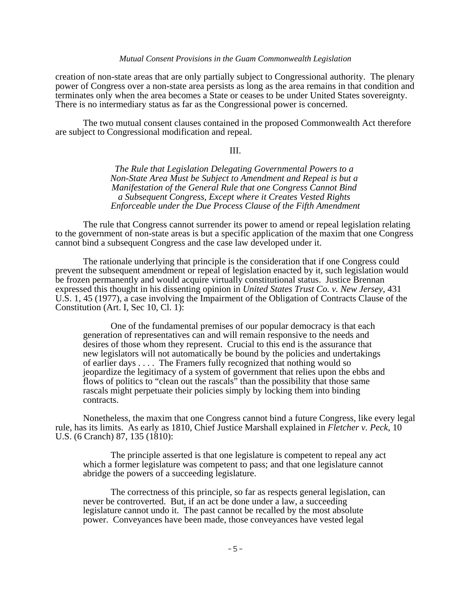## *Mutual Consent Provisions in the Guam Commonwealth Legislation*

creation of non-state areas that are only partially subject to Congressional authority. The plenary power of Congress over a non-state area persists as long as the area remains in that condition and terminates only when the area becomes a State or ceases to be under United States sovereignty. There is no intermediary status as far as the Congressional power is concerned.

The two mutual consent clauses contained in the proposed Commonwealth Act therefore are subject to Congressional modification and repeal.

### III.

*The Rule that Legislation Delegating Governmental Powers to a Non-State Area Must be Subject to Amendment and Repeal is but a Manifestation of the General Rule that one Congress Cannot Bind a Subsequent Congress, Except where it Creates Vested Rights Enforceable under the Due Process Clause of the Fifth Amendment* 

The rule that Congress cannot surrender its power to amend or repeal legislation relating to the government of non-state areas is but a specific application of the maxim that one Congress cannot bind a subsequent Congress and the case law developed under it.

The rationale underlying that principle is the consideration that if one Congress could prevent the subsequent amendment or repeal of legislation enacted by it, such legislation would be frozen permanently and would acquire virtually constitutional status. Justice Brennan expressed this thought in his dissenting opinion in *United States Trust Co. v. New Jersey*, 431 U.S. 1, 45 (1977), a case involving the Impairment of the Obligation of Contracts Clause of the Constitution (Art. I, Sec 10, Cl. 1):

One of the fundamental premises of our popular democracy is that each generation of representatives can and will remain responsive to the needs and desires of those whom they represent. Crucial to this end is the assurance that new legislators will not automatically be bound by the policies and undertakings of earlier days . . . . The Framers fully recognized that nothing would so jeopardize the legitimacy of a system of government that relies upon the ebbs and flows of politics to "clean out the rascals" than the possibility that those same rascals might perpetuate their policies simply by locking them into binding contracts.

Nonetheless, the maxim that one Congress cannot bind a future Congress, like every legal rule, has its limits. As early as 1810, Chief Justice Marshall explained in *Fletcher v. Peck*, 10 U.S. (6 Cranch) 87, 135 (1810):

The principle asserted is that one legislature is competent to repeal any act which a former legislature was competent to pass; and that one legislature cannot abridge the powers of a succeeding legislature.

The correctness of this principle, so far as respects general legislation, can never be controverted. But, if an act be done under a law, a succeeding legislature cannot undo it. The past cannot be recalled by the most absolute power. Conveyances have been made, those conveyances have vested legal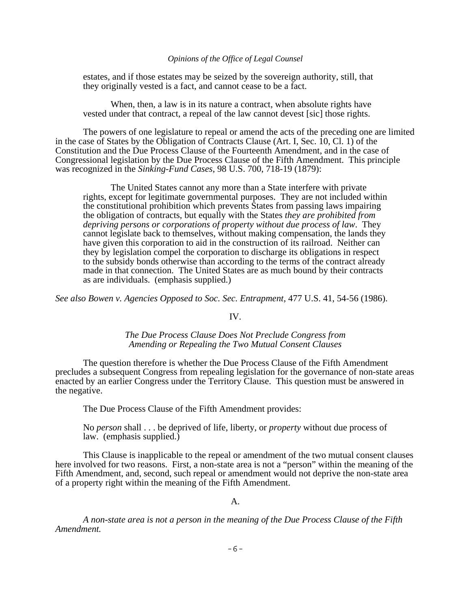estates, and if those estates may be seized by the sovereign authority, still, that they originally vested is a fact, and cannot cease to be a fact.

When, then, a law is in its nature a contract, when absolute rights have vested under that contract, a repeal of the law cannot devest [sic] those rights.

The powers of one legislature to repeal or amend the acts of the preceding one are limited in the case of States by the Obligation of Contracts Clause (Art. I, Sec.  $\hat{10}$ , Cl. 1) of the Constitution and the Due Process Clause of the Fourteenth Amendment, and in the case of Congressional legislation by the Due Process Clause of the Fifth Amendment. This principle was recognized in the *Sinking-Fund Cases*, 98 U.S. 700, 718-19 (1879):

The United States cannot any more than a State interfere with private rights, except for legitimate governmental purposes. They are not included within the constitutional prohibition which prevents States from passing laws impairing the obligation of contracts, but equally with the States *they are prohibited from depriving persons or corporations of property without due process of law*. They cannot legislate back to themselves, without making compensation, the lands they have given this corporation to aid in the construction of its railroad. Neither can they by legislation compel the corporation to discharge its obligations in respect to the subsidy bonds otherwise than according to the terms of the contract already made in that connection. The United States are as much bound by their contracts as are individuals. (emphasis supplied.)

*See also Bowen v. Agencies Opposed to Soc. Sec. Entrapment*, 477 U.S. 41, 54-56 (1986).

# IV.

# *The Due Process Clause Does Not Preclude Congress from Amending or Repealing the Two Mutual Consent Clauses*

The question therefore is whether the Due Process Clause of the Fifth Amendment precludes a subsequent Congress from repealing legislation for the governance of non-state areas enacted by an earlier Congress under the Territory Clause. This question must be answered in the negative.

The Due Process Clause of the Fifth Amendment provides:

No *person* shall . . . be deprived of life, liberty, or *property* without due process of law. (emphasis supplied.)

This Clause is inapplicable to the repeal or amendment of the two mutual consent clauses here involved for two reasons. First, a non-state area is not a "person" within the meaning of the Fifth Amendment, and, second, such repeal or amendment would not deprive the non-state area of a property right within the meaning of the Fifth Amendment.

A.

*A non-state area is not a person in the meaning of the Due Process Clause of the Fifth Amendment.*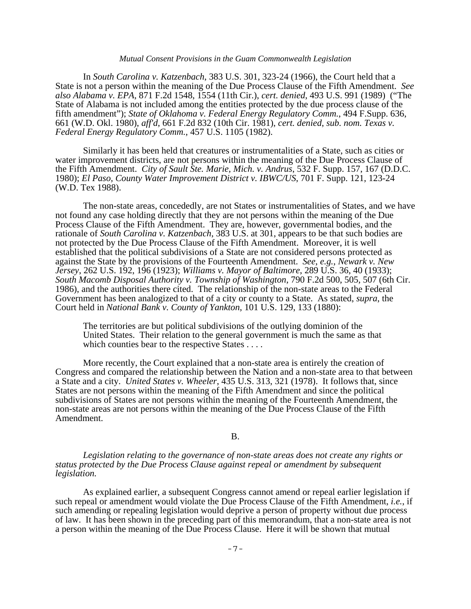#### *Mutual Consent Provisions in the Guam Commonwealth Legislation*

In *South Carolina v. Katzenbach*, 383 U.S. 301, 323-24 (1966), the Court held that a State is not a person within the meaning of the Due Process Clause of the Fifth Amendment. *See also Alabama v. EPA*, 871 F.2d 1548, 1554 (11th Cir.), *cert. denied*, 493 U.S. 991 (1989) ("The State of Alabama is not included among the entities protected by the due process clause of the fifth amendment"); *State of Oklahoma v. Federal Energy Regulatory Comm.*, 494 F.Supp. 636, 661 (W.D. Okl. 1980), *aff'd*, 661 F.2d 832 (10th Cir. 1981), *cert. denied*, *sub. nom. Texas v. Federal Energy Regulatory Comm.*, 457 U.S. 1105 (1982).

Similarly it has been held that creatures or instrumentalities of a State, such as cities or water improvement districts, are not persons within the meaning of the Due Process Clause of the Fifth Amendment. *City of Sault Ste. Marie, Mich. v. Andrus*, 532 F. Supp. 157, 167 (D.D.C. 1980); *El Paso, County Water Improvement District v. IBWC/US*, 701 F. Supp. 121, 123-24 (W.D. Tex 1988).

The non-state areas, concededly, are not States or instrumentalities of States, and we have not found any case holding directly that they are not persons within the meaning of the Due Process Clause of the Fifth Amendment. They are, however, governmental bodies, and the rationale of *South Carolina v. Katzenbach*, 383 U.S. at 301, appears to be that such bodies are not protected by the Due Process Clause of the Fifth Amendment. Moreover, it is well established that the political subdivisions of a State are not considered persons protected as against the State by the provisions of the Fourteenth Amendment. *See*, *e.g.*, *Newark v. New Jersey*, 262 U.S. 192, 196 (1923); *Williams v. Mayor of Baltimore*, 289 U.S. 36, 40 (1933); *South Macomb Disposal Authority v. Township of Washington*, 790 F.2d 500, 505, 507 (6th Cir. 1986), and the authorities there cited. The relationship of the non-state areas to the Federal Government has been analogized to that of a city or county to a State. As stated, *supra*, the Court held in *National Bank v. County of Yankton*, 101 U.S. 129, 133 (1880):

The territories are but political subdivisions of the outlying dominion of the United States. Their relation to the general government is much the same as that which counties bear to the respective States . . . .

More recently, the Court explained that a non-state area is entirely the creation of Congress and compared the relationship between the Nation and a non-state area to that between a State and a city. *United States v. Wheeler*, 435 U.S. 313, 321 (1978). It follows that, since States are not persons within the meaning of the Fifth Amendment and since the political subdivisions of States are not persons within the meaning of the Fourteenth Amendment, the non-state areas are not persons within the meaning of the Due Process Clause of the Fifth Amendment.

# B.

*Legislation relating to the governance of non-state areas does not create any rights or status protected by the Due Process Clause against repeal or amendment by subsequent legislation.* 

As explained earlier, a subsequent Congress cannot amend or repeal earlier legislation if such repeal or amendment would violate the Due Process Clause of the Fifth Amendment, *i.e.*, if such amending or repealing legislation would deprive a person of property without due process of law. It has been shown in the preceding part of this memorandum, that a non-state area is not a person within the meaning of the Due Process Clause. Here it will be shown that mutual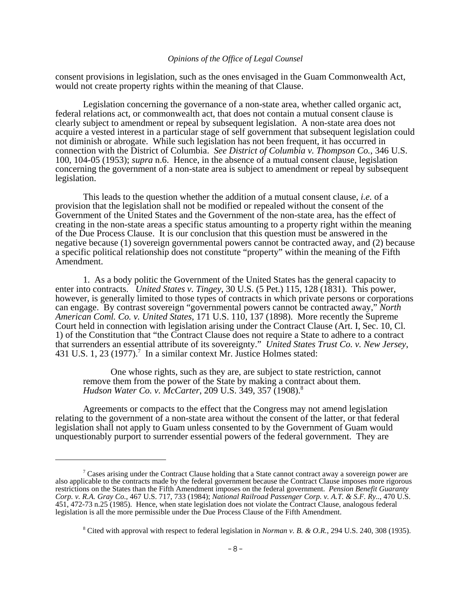consent provisions in legislation, such as the ones envisaged in the Guam Commonwealth Act, would not create property rights within the meaning of that Clause.

Legislation concerning the governance of a non-state area, whether called organic act, federal relations act, or commonwealth act, that does not contain a mutual consent clause is clearly subject to amendment or repeal by subsequent legislation. A non-state area does not acquire a vested interest in a particular stage of self government that subsequent legislation could not diminish or abrogate. While such legislation has not been frequent, it has occurred in connection with the District of Columbia. *See District of Columbia v. Thompson Co.*, 346 U.S. 100, 104-05 (1953); *supra* n.6. Hence, in the absence of a mutual consent clause, legislation concerning the government of a non-state area is subject to amendment or repeal by subsequent legislation.

This leads to the question whether the addition of a mutual consent clause, *i.e.* of a provision that the legislation shall not be modified or repealed without the consent of the Government of the United States and the Government of the non-state area, has the effect of creating in the non-state areas a specific status amounting to a property right within the meaning of the Due Process Clause. It is our conclusion that this question must be answered in the negative because (1) sovereign governmental powers cannot be contracted away, and (2) because a specific political relationship does not constitute "property" within the meaning of the Fifth Amendment.

1. As a body politic the Government of the United States has the general capacity to enter into contracts. *United States v. Tingey*, 30 U.S. (5 Pet.) 115, 128 (1831). This power, however, is generally limited to those types of contracts in which private persons or corporations can engage. By contrast sovereign "governmental powers cannot be contracted away," *North American Coml. Co. v. United States*, 171 U.S. 110, 137 (1898). More recently the Supreme Court held in connection with legislation arising under the Contract Clause (Art. I, Sec. 10, Cl. 1) of the Constitution that "the Contract Clause does not require a State to adhere to a contract that surrenders an essential attribute of its sovereignty." *United States Trust Co. v. New Jersey*, 431 U.S. 1, 23 (1977).<sup>7</sup> In a similar context Mr. Justice Holmes stated:

One whose rights, such as they are, are subject to state restriction, cannot remove them from the power of the State by making a contract about them. *Hudson Water Co. v. McCarter*, 209 U.S. 349, 357 (1908).8

Agreements or compacts to the effect that the Congress may not amend legislation relating to the government of a non-state area without the consent of the latter, or that federal legislation shall not apply to Guam unless consented to by the Government of Guam would unquestionably purport to surrender essential powers of the federal government. They are

 $\sigma$  Cases arising under the Contract Clause holding that a State cannot contract away a sovereign power are also applicable to the contracts made by the federal government because the Contract Clause imposes more rigorous restrictions on the States than the Fifth Amendment imposes on the federal government. *Pension Benefit Guaranty Corp. v. R.A. Gray Co.*, 467 U.S. 717, 733 (1984); *National Railroad Passenger Corp. v. A.T. & S.F. Ry..*, 470 U.S. 451, 472-73 n.25 (1985). Hence, when state legislation does not violate the Contract Clause, analogous federal legislation is all the more permissible under the Due Process Clause of the Fifth Amendment.

<sup>8</sup> Cited with approval with respect to federal legislation in *Norman v. B. & O.R.*, 294 U.S. 240, 308 (1935).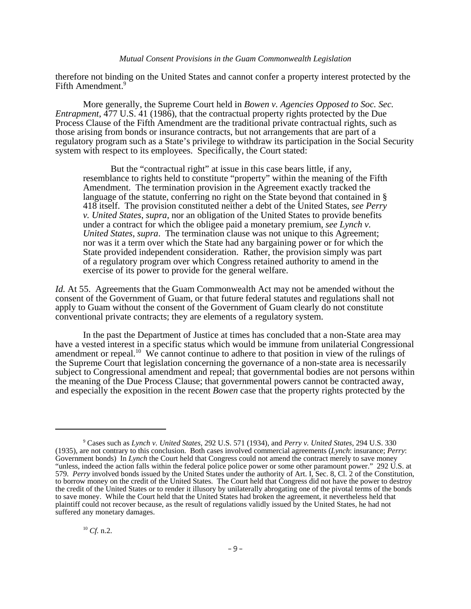### *Mutual Consent Provisions in the Guam Commonwealth Legislation*

therefore not binding on the United States and cannot confer a property interest protected by the Fifth Amendment.<sup>9</sup>

More generally, the Supreme Court held in *Bowen v. Agencies Opposed to Soc. Sec. Entrapment*, 477 U.S. 41 (1986), that the contractual property rights protected by the Due Process Clause of the Fifth Amendment are the traditional private contractual rights, such as those arising from bonds or insurance contracts, but not arrangements that are part of a regulatory program such as a State's privilege to withdraw its participation in the Social Security system with respect to its employees. Specifically, the Court stated:

But the "contractual right" at issue in this case bears little, if any, resemblance to rights held to constitute "property" within the meaning of the Fifth Amendment. The termination provision in the Agreement exactly tracked the language of the statute, conferring no right on the State beyond that contained in § 418 itself. The provision constituted neither a debt of the United States, *see Perry v. United States*, *supra*, nor an obligation of the United States to provide benefits under a contract for which the obligee paid a monetary premium, *see Lynch v. United States*, *supra*. The termination clause was not unique to this Agreement; nor was it a term over which the State had any bargaining power or for which the State provided independent consideration. Rather, the provision simply was part of a regulatory program over which Congress retained authority to amend in the exercise of its power to provide for the general welfare.

*Id.* At 55. Agreements that the Guam Commonwealth Act may not be amended without the consent of the Government of Guam, or that future federal statutes and regulations shall not apply to Guam without the consent of the Government of Guam clearly do not constitute conventional private contracts; they are elements of a regulatory system.

In the past the Department of Justice at times has concluded that a non-State area may have a vested interest in a specific status which would be immune from unilaterial Congressional amendment or repeal.10 We cannot continue to adhere to that position in view of the rulings of the Supreme Court that legislation concerning the governance of a non-state area is necessarily subject to Congressional amendment and repeal; that governmental bodies are not persons within the meaning of the Due Process Clause; that governmental powers cannot be contracted away, and especially the exposition in the recent *Bowen* case that the property rights protected by the

<sup>9</sup> Cases such as *Lynch v. United States*, 292 U.S. 571 (1934), and *Perry v. United States*, 294 U.S. 330 (1935), are not contrary to this conclusion. Both cases involved commercial agreements (*Lynch*: insurance; *Perry*: Government bonds) In *Lynch* the Court held that Congress could not amend the contract merely to save money "unless, indeed the action falls within the federal police police power or some other paramount power." 292 U.S. at 579. *Perry* involved bonds issued by the United States under the authority of Art. I, Sec. 8, Cl. 2 of the Constitution, to borrow money on the credit of the United States. The Court held that Congress did not have the power to destroy the credit of the United States or to render it illusory by unilaterally abrogating one of the pivotal terms of the bonds to save money. While the Court held that the United States had broken the agreement, it nevertheless held that plaintiff could not recover because, as the result of regulations validly issued by the United States, he had not suffered any monetary damages.